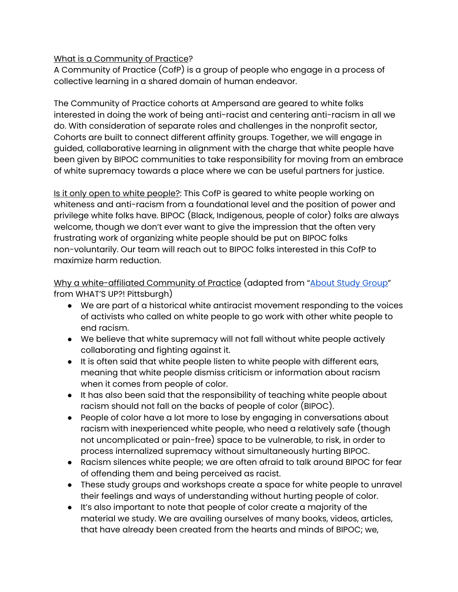## What is a Community of Practice?

A Community of Practice (CofP) is a group of people who engage in a process of collective learning in a shared domain of human endeavor.

The Community of Practice cohorts at Ampersand are geared to white folks interested in doing the work of being anti-racist and centering anti-racism in all we do. With consideration of separate roles and challenges in the nonprofit sector, Cohorts are built to connect different affinity groups. Together, we will engage in guided, collaborative learning in alignment with the charge that white people have been given by BIPOC communities to take responsibility for moving from an embrace of white supremacy towards a place where we can be useful partners for justice.

Is it only open to white people?: This CofP is geared to white people working on whiteness and anti-racism from a foundational level and the position of power and privilege white folks have. BIPOC (Black, Indigenous, people of color) folks are always welcome, though we don't ever want to give the impression that the often very frustrating work of organizing white people should be put on BIPOC folks non-voluntarily. Our team will reach out to BIPOC folks interested in this CofP to maximize harm reduction.

Why a white-affiliated Community of Practice (adapted from "About Study Group" from WHAT'S UP?! Pittsburgh)

- We are part of a historical white antiracist movement responding to the voices of activists who called on white people to go work with other white people to end racism.
- We believe that white supremacy will not fall without white people actively collaborating and fighting against it.
- It is often said that white people listen to white people with different ears, meaning that white people dismiss criticism or information about racism when it comes from people of color.
- It has also been said that the responsibility of teaching white people about racism should not fall on the backs of people of color (BIPOC).
- People of color have a lot more to lose by engaging in conversations about racism with inexperienced white people, who need a relatively safe (though not uncomplicated or pain-free) space to be vulnerable, to risk, in order to process internalized supremacy without simultaneously hurting BIPOC.
- Racism silences white people; we are often afraid to talk around BIPOC for fear of offending them and being perceived as racist.
- These study groups and workshops create a space for white people to unravel their feelings and ways of understanding without hurting people of color.
- It's also important to note that people of color create a majority of the material we study. We are availing ourselves of many books, videos, articles, that have already been created from the hearts and minds of BIPOC; we,